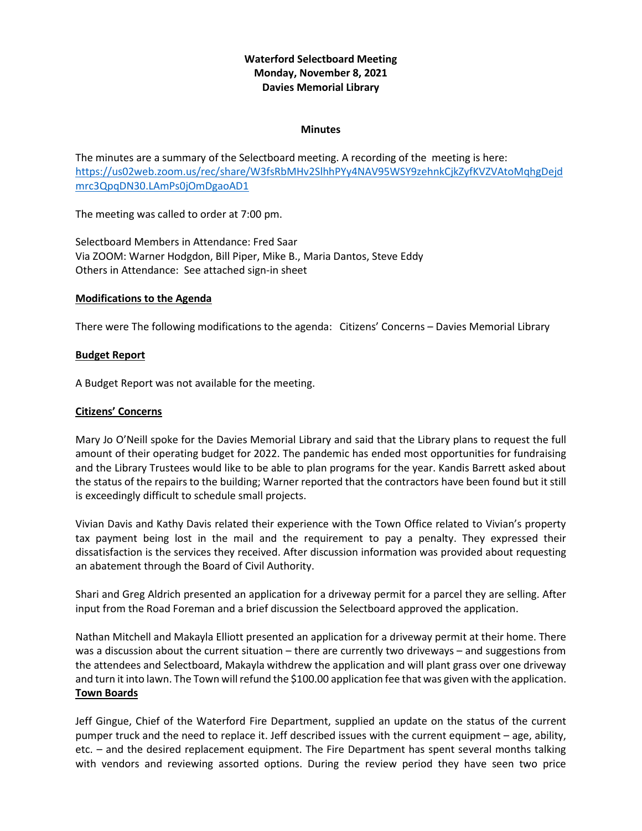# **Waterford Selectboard Meeting Monday, November 8, 2021 Davies Memorial Library**

#### **Minutes**

The minutes are a summary of the Selectboard meeting. A recording of the meeting is here: [https://us02web.zoom.us/rec/share/W3fsRbMHv2SlhhPYy4NAV95WSY9zehnkCjkZyfKVZVAtoMqhgDejd](https://us02web.zoom.us/rec/share/W3fsRbMHv2SlhhPYy4NAV95WSY9zehnkCjkZyfKVZVAtoMqhgDejdmrc3QpqDN30.LAmPs0jOmDgaoAD1) [mrc3QpqDN30.LAmPs0jOmDgaoAD1](https://us02web.zoom.us/rec/share/W3fsRbMHv2SlhhPYy4NAV95WSY9zehnkCjkZyfKVZVAtoMqhgDejdmrc3QpqDN30.LAmPs0jOmDgaoAD1)

The meeting was called to order at 7:00 pm.

Selectboard Members in Attendance: Fred Saar Via ZOOM: Warner Hodgdon, Bill Piper, Mike B., Maria Dantos, Steve Eddy Others in Attendance: See attached sign-in sheet

## **Modifications to the Agenda**

There were The following modifications to the agenda: Citizens' Concerns – Davies Memorial Library

## **Budget Report**

A Budget Report was not available for the meeting.

## **Citizens' Concerns**

Mary Jo O'Neill spoke for the Davies Memorial Library and said that the Library plans to request the full amount of their operating budget for 2022. The pandemic has ended most opportunities for fundraising and the Library Trustees would like to be able to plan programs for the year. Kandis Barrett asked about the status of the repairs to the building; Warner reported that the contractors have been found but it still is exceedingly difficult to schedule small projects.

Vivian Davis and Kathy Davis related their experience with the Town Office related to Vivian's property tax payment being lost in the mail and the requirement to pay a penalty. They expressed their dissatisfaction is the services they received. After discussion information was provided about requesting an abatement through the Board of Civil Authority.

Shari and Greg Aldrich presented an application for a driveway permit for a parcel they are selling. After input from the Road Foreman and a brief discussion the Selectboard approved the application.

Nathan Mitchell and Makayla Elliott presented an application for a driveway permit at their home. There was a discussion about the current situation – there are currently two driveways – and suggestions from the attendees and Selectboard, Makayla withdrew the application and will plant grass over one driveway and turn it into lawn. The Town will refund the \$100.00 application fee that was given with the application. **Town Boards**

Jeff Gingue, Chief of the Waterford Fire Department, supplied an update on the status of the current pumper truck and the need to replace it. Jeff described issues with the current equipment – age, ability, etc. – and the desired replacement equipment. The Fire Department has spent several months talking with vendors and reviewing assorted options. During the review period they have seen two price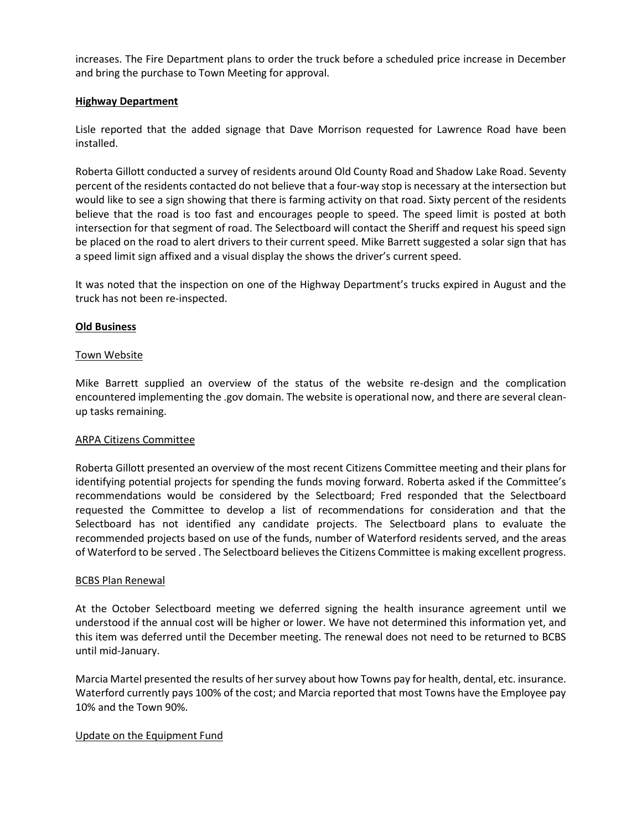increases. The Fire Department plans to order the truck before a scheduled price increase in December and bring the purchase to Town Meeting for approval.

## **Highway Department**

Lisle reported that the added signage that Dave Morrison requested for Lawrence Road have been installed.

Roberta Gillott conducted a survey of residents around Old County Road and Shadow Lake Road. Seventy percent of the residents contacted do not believe that a four-way stop is necessary at the intersection but would like to see a sign showing that there is farming activity on that road. Sixty percent of the residents believe that the road is too fast and encourages people to speed. The speed limit is posted at both intersection for that segment of road. The Selectboard will contact the Sheriff and request his speed sign be placed on the road to alert drivers to their current speed. Mike Barrett suggested a solar sign that has a speed limit sign affixed and a visual display the shows the driver's current speed.

It was noted that the inspection on one of the Highway Department's trucks expired in August and the truck has not been re-inspected.

### **Old Business**

### Town Website

Mike Barrett supplied an overview of the status of the website re-design and the complication encountered implementing the .gov domain. The website is operational now, and there are several cleanup tasks remaining.

#### ARPA Citizens Committee

Roberta Gillott presented an overview of the most recent Citizens Committee meeting and their plans for identifying potential projects for spending the funds moving forward. Roberta asked if the Committee's recommendations would be considered by the Selectboard; Fred responded that the Selectboard requested the Committee to develop a list of recommendations for consideration and that the Selectboard has not identified any candidate projects. The Selectboard plans to evaluate the recommended projects based on use of the funds, number of Waterford residents served, and the areas of Waterford to be served . The Selectboard believes the Citizens Committee is making excellent progress.

#### BCBS Plan Renewal

At the October Selectboard meeting we deferred signing the health insurance agreement until we understood if the annual cost will be higher or lower. We have not determined this information yet, and this item was deferred until the December meeting. The renewal does not need to be returned to BCBS until mid-January.

Marcia Martel presented the results of her survey about how Towns pay for health, dental, etc. insurance. Waterford currently pays 100% of the cost; and Marcia reported that most Towns have the Employee pay 10% and the Town 90%.

## Update on the Equipment Fund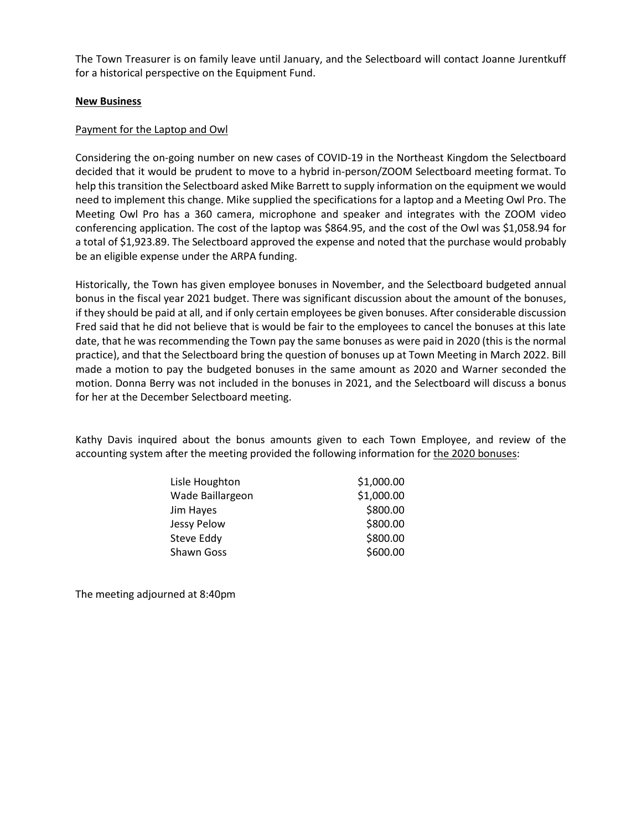The Town Treasurer is on family leave until January, and the Selectboard will contact Joanne Jurentkuff for a historical perspective on the Equipment Fund.

## **New Business**

### Payment for the Laptop and Owl

Considering the on-going number on new cases of COVID-19 in the Northeast Kingdom the Selectboard decided that it would be prudent to move to a hybrid in-person/ZOOM Selectboard meeting format. To help this transition the Selectboard asked Mike Barrett to supply information on the equipment we would need to implement this change. Mike supplied the specifications for a laptop and a Meeting Owl Pro. The Meeting Owl Pro has a 360 camera, microphone and speaker and integrates with the ZOOM video conferencing application. The cost of the laptop was \$864.95, and the cost of the Owl was \$1,058.94 for a total of \$1,923.89. The Selectboard approved the expense and noted that the purchase would probably be an eligible expense under the ARPA funding.

Historically, the Town has given employee bonuses in November, and the Selectboard budgeted annual bonus in the fiscal year 2021 budget. There was significant discussion about the amount of the bonuses, if they should be paid at all, and if only certain employees be given bonuses. After considerable discussion Fred said that he did not believe that is would be fair to the employees to cancel the bonuses at this late date, that he was recommending the Town pay the same bonuses as were paid in 2020 (this is the normal practice), and that the Selectboard bring the question of bonuses up at Town Meeting in March 2022. Bill made a motion to pay the budgeted bonuses in the same amount as 2020 and Warner seconded the motion. Donna Berry was not included in the bonuses in 2021, and the Selectboard will discuss a bonus for her at the December Selectboard meeting.

Kathy Davis inquired about the bonus amounts given to each Town Employee, and review of the accounting system after the meeting provided the following information for the 2020 bonuses:

| Lisle Houghton    | \$1,000.00 |
|-------------------|------------|
| Wade Baillargeon  | \$1,000.00 |
| Jim Hayes         | \$800.00   |
| Jessy Pelow       | \$800.00   |
| Steve Eddy        | \$800.00   |
| <b>Shawn Goss</b> | \$600.00   |

The meeting adjourned at 8:40pm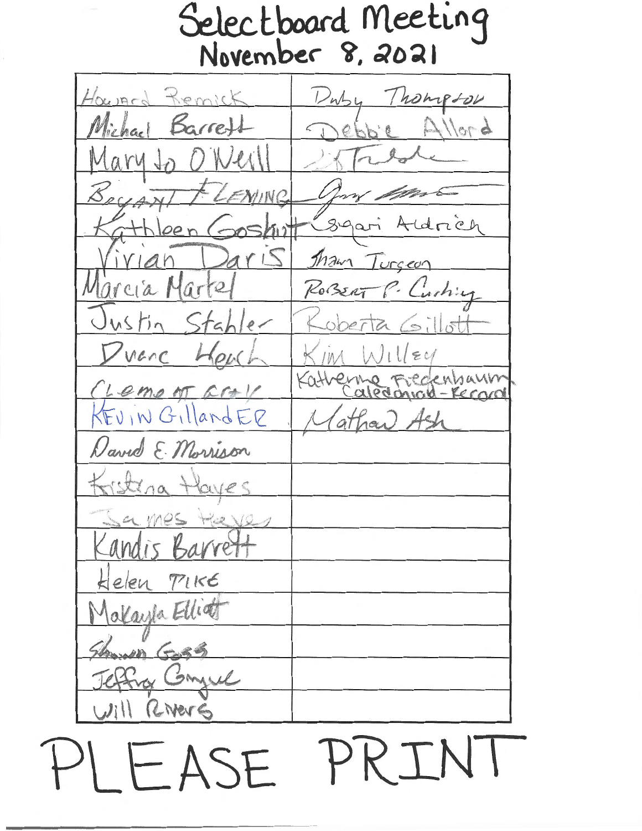Selectboard Meeting November 8, 2021 Housed Remick Thompson  $Dw_{24}$ Michael Barrett  $A$ llord  $h'$ e  $1211$ VINC Aldrich Syari  $5h$ it  $2111$ Tham Turceon Marte Marcia ROBERT P. Curhing Stabler Justin  $ODEF$ venc Hpul EM Lemont cro -Record Evin GillandER (athan) Ash David E. Morrison Kisterna Haves CL Mes  $+2212$ andis Barre Kelen PIKE alayla Elliot Shower Goss Jeffra Conguel vill RiverE

PRTN FASE